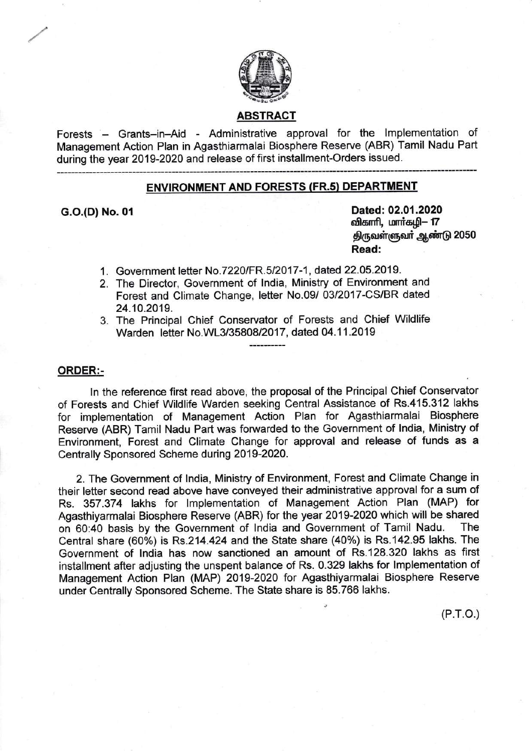

#### ABSTRACT

Forests – Grants-in-Aid - Administrative approval for the Implementation of Management Action Plan in Agasthiarmalai Biosphere Reserve (ABR) Tamil Nadu Part during the year 2019-2020 and release of first installment-Orders issued.

### ENVIRONMENT AND FORESTS (FR.s} DEPARTMENT

G.O.(D) No. 01 Dated: 02.01.2020 விகாரி, மார்கழி– 17 திருவள்ளுவர் ஆண்டு 2050 Read:

- 1. Government letter No.7220/FR.5/2017-1. dated 22.05.2019.
- 2. The Director, Government of lndia, Ministry of Environment and Forest and Climate Change, letter No.09/ 03/2017-CS/BR dated 24.10.2019.
- 3. The Principal Chief Conservator of Forests and Chief Wildlife Warden letter No.WL3/35808/2017, dated 04.11.2019

### ORDER:-

ln the reference first read above, the proposal of the Principal Chief Conservator of Forests and Chief Wildlife Warden seeking Central Assistance of Rs.415.312 lakhs for implementation of Management Action Plan for Agasthiarmalai Biosphere Reserve (ABR) Tamil Nadu Part was forwarded to the Government of India, Ministry of Environment, Forest and Climate Change for approval and release of funds as <sup>a</sup> Centrally Sponsored Scheme during 2019-2020.

2. The Government of lndia, Ministry of Environment, Forest and Climate Change in their letter second read above have conveyed their administrative approval for a sum of Rs. 357.374 lakhs for lmplementation of Management Action Plan (MAP) for Agasthiyarmalai Biosphere Reserve (ABR) for the year 2019-2020 which will be shared<br>on 60:40 basis by the Government of India and Government of Tamil Nadu. The on 60:40 basis by the Government of India and Government of Tamil Nadu. Central share (60%) is Rs.214.424 and the State share (40%) is Rs.142.95 lakhs. The Government of lndia has now sanctioned an amount of Rs.128.320 lakhs as first installment after adjusting the unspent balance of Rs. 0.329 lakhs for lmplementation of Management Action Plan (MAP) 2019-2020 for Agasthiyarmalai Biosphere Reserve under Centrally Sponsored Scheme. The State share is 85.766 lakhs.

 $(P.T.O.)$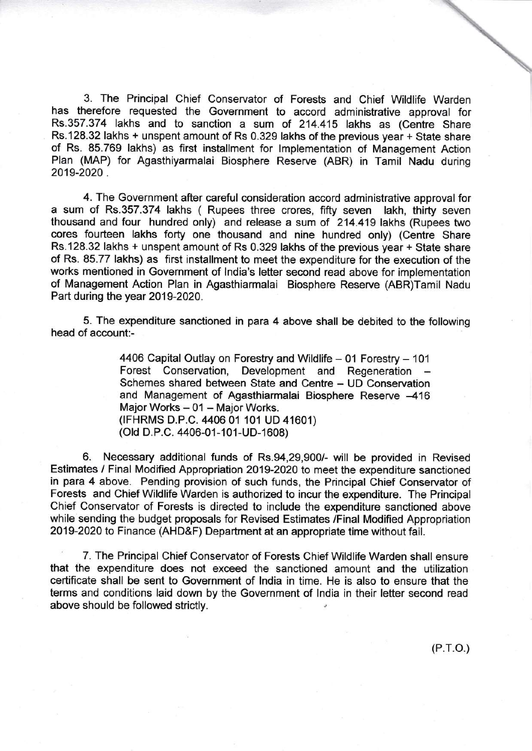3. The Principal Chief Conservator of Forests and Chief Wildlife Warden has therefore requested the Government to accord administrative approval for Rs.357.374 lakhs and to sanction a sum of 214.415 lakhs as (Centre Share Rs.128.32 lakhs + unspent amount of Rs 0.329 lakhs of the previous year + State share of Rs. 85.769 lakhs) as first installment for lmplementation of Management Action Plan (MAP) for Agasthiyarmalai Biosphere Reserve (ABR) in Tamil Nadu during 2019-2020 .

4. The Government after careful consideration accord administrative approval for a sum of Rs.357.374 lakhs ( Rupees three crores, fifty seven lakh, thirty seven thousand and four hundred only) and release a sum of 214.419 lakhs (Rupees two cores fourteen lakhs forty one thousand and nine hundred only) (Centre Share Rs.128.32 lakhs + unspent amount of Rs 0.329 lakhs of the previous year + State share of Rs. 85.77 lakhs) as first installment to meet the expenditure for the execution of the works mentioned in Government of lndia's letter second read above for implementation of Management Action Plan in Agasthiarmalai Biosphere Reserve (ABR)Tamil Nadu Part during the year 2019-2020.

5. The expenditure sanctioned in para 4 above shall be debited to the following head of account:-

> 4406 Capital Outlay on Forestry and Wildlife - 01 Forestry - 101 Forest Conservation, Development and Regeneration Schemes shared between State and Centre - UD Conservation and Management of Agasthiarmalai Biosphere Reserve -416 Major Works - 01 - Major Works. (TFHRMS D.p.C. 4406 01 101 UD 41601) (Old D.P.C. 4406-01-101-UD-1608)

6. Necessary additional funds of Rs.94,29,900/- will be provided in Revised Estimates / Final Modified Appropriation 2019-2020 to meet the expenditure sanctioned in para 4 above. Pending provision of such funds, the Principal Chief Conservator of Forests and Chief Wildlife Warden is authorized to incur the expenditure. The Principal Chief Conservator of Forests is directed to include the expenditure sanctioned above while sending the budget proposals for Revised Estimates /Final Modified Appropriation 2019-2020 to Finance (AHD&F) Department at an appropriate time without fail.

7. The Principal Chief Conservator of Forests Chief Wildlife Warden shall ensure that the expenditure does not exceed the sanctioned amount and the utilization certificate shall be sent to Government of lndia in time. He is also to ensure that the terms and conditions laid down by the Government of lndia in their letter second read above should be followed strictly.

 $(P.T.O.)$